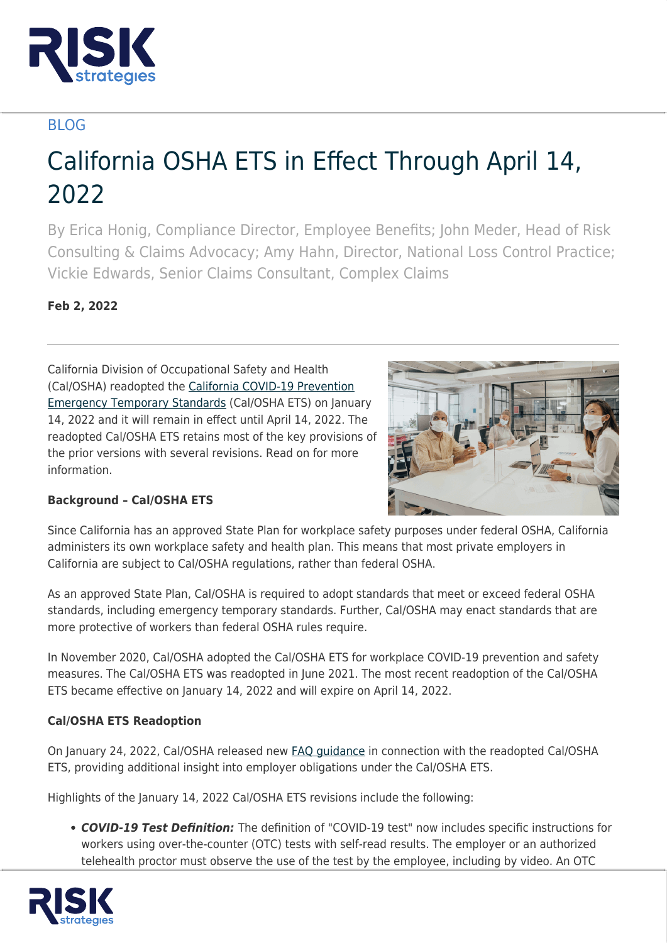

# BLOG

# California OSHA ETS in Effect Through April 14, 2022

By Erica Honig, Compliance Director, Employee Benefits; John Meder, Head of Risk Consulting & Claims Advocacy; Amy Hahn, Director, National Loss Control Practice; Vickie Edwards, Senior Claims Consultant, Complex Claims

## **Feb 2, 2022**

California Division of Occupational Safety and Health (Cal/OSHA) readopted the [California COVID-19 Prevention](https://www.dir.ca.gov/dosh/coronavirus/ETS.html) [Emergency Temporary Standards](https://www.dir.ca.gov/dosh/coronavirus/ETS.html) (Cal/OSHA ETS) on January 14, 2022 and it will remain in effect until April 14, 2022. The readopted Cal/OSHA ETS retains most of the key provisions of the prior versions with several revisions. Read on for more information.



### **Background – Cal/OSHA ETS**

Since California has an approved State Plan for workplace safety purposes under federal OSHA, California administers its own workplace safety and health plan. This means that most private employers in California are subject to Cal/OSHA regulations, rather than federal OSHA.

As an approved State Plan, Cal/OSHA is required to adopt standards that meet or exceed federal OSHA standards, including emergency temporary standards. Further, Cal/OSHA may enact standards that are more protective of workers than federal OSHA rules require.

In November 2020, Cal/OSHA adopted the Cal/OSHA ETS for workplace COVID-19 prevention and safety measures. The Cal/OSHA ETS was readopted in June 2021. The most recent readoption of the Cal/OSHA ETS became effective on January 14, 2022 and will expire on April 14, 2022.

#### **Cal/OSHA ETS Readoption**

On January 24, 2022, Cal/OSHA released new [FAQ guidance](https://www.dir.ca.gov/dosh/coronavirus/COVID19FAQs.html) in connection with the readopted Cal/OSHA ETS, providing additional insight into employer obligations under the Cal/OSHA ETS.

Highlights of the January 14, 2022 Cal/OSHA ETS revisions include the following:

*COVID-19 Test Definition:* The definition of "COVID-19 test" now includes specific instructions for workers using over-the-counter (OTC) tests with self-read results. The employer or an authorized telehealth proctor must observe the use of the test by the employee, including by video. An OTC

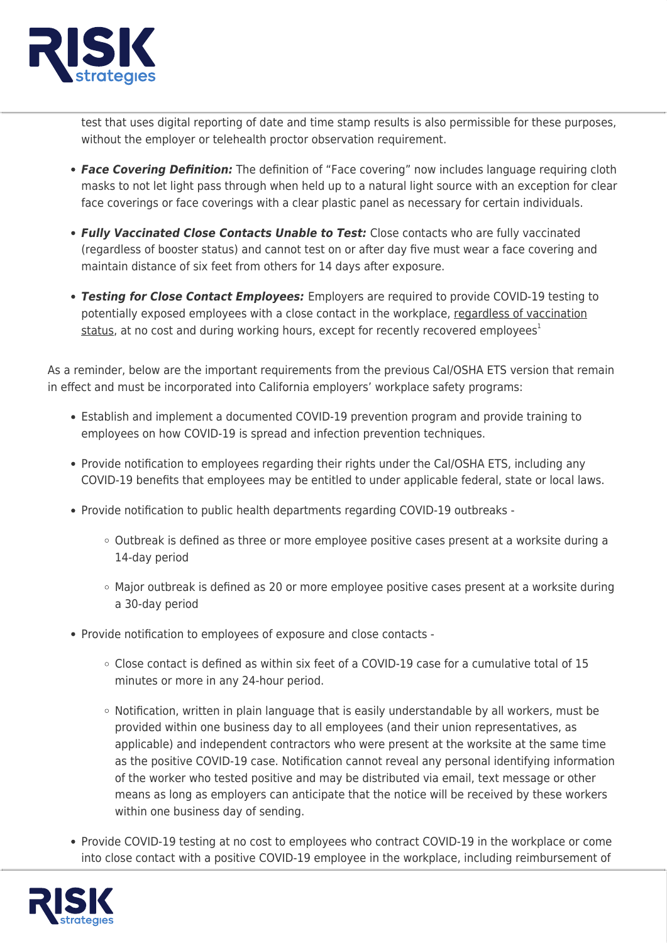

test that uses digital reporting of date and time stamp results is also permissible for these purposes, without the employer or telehealth proctor observation requirement.

- *Face Covering Definition:* The definition of "Face covering" now includes language requiring cloth masks to not let light pass through when held up to a natural light source with an exception for clear face coverings or face coverings with a clear plastic panel as necessary for certain individuals.
- *Fully Vaccinated Close Contacts Unable to Test:* Close contacts who are fully vaccinated (regardless of booster status) and cannot test on or after day five must wear a face covering and maintain distance of six feet from others for 14 days after exposure.
- *Testing for Close Contact Employees:* Employers are required to provide COVID-19 testing to potentially exposed employees with a close contact in the workplace, regardless of vaccination status, at no cost and during working hours, except for recently recovered employees $1$

As a reminder, below are the important requirements from the previous Cal/OSHA ETS version that remain in effect and must be incorporated into California employers' workplace safety programs:

- Establish and implement a documented COVID-19 prevention program and provide training to employees on how COVID-19 is spread and infection prevention techniques.
- Provide notification to employees regarding their rights under the Cal/OSHA ETS, including any COVID-19 benefits that employees may be entitled to under applicable federal, state or local laws.
- Provide notification to public health departments regarding COVID-19 outbreaks
	- Outbreak is defined as three or more employee positive cases present at a worksite during a 14-day period
	- $\circ$  Major outbreak is defined as 20 or more employee positive cases present at a worksite during a 30-day period
- Provide notification to employees of exposure and close contacts
	- $\circ$  Close contact is defined as within six feet of a COVID-19 case for a cumulative total of 15 minutes or more in any 24-hour period.
	- $\circ$  Notification, written in plain language that is easily understandable by all workers, must be provided within one business day to all employees (and their union representatives, as applicable) and independent contractors who were present at the worksite at the same time as the positive COVID-19 case. Notification cannot reveal any personal identifying information of the worker who tested positive and may be distributed via email, text message or other means as long as employers can anticipate that the notice will be received by these workers within one business day of sending.
- Provide COVID-19 testing at no cost to employees who contract COVID-19 in the workplace or come into close contact with a positive COVID-19 employee in the workplace, including reimbursement of

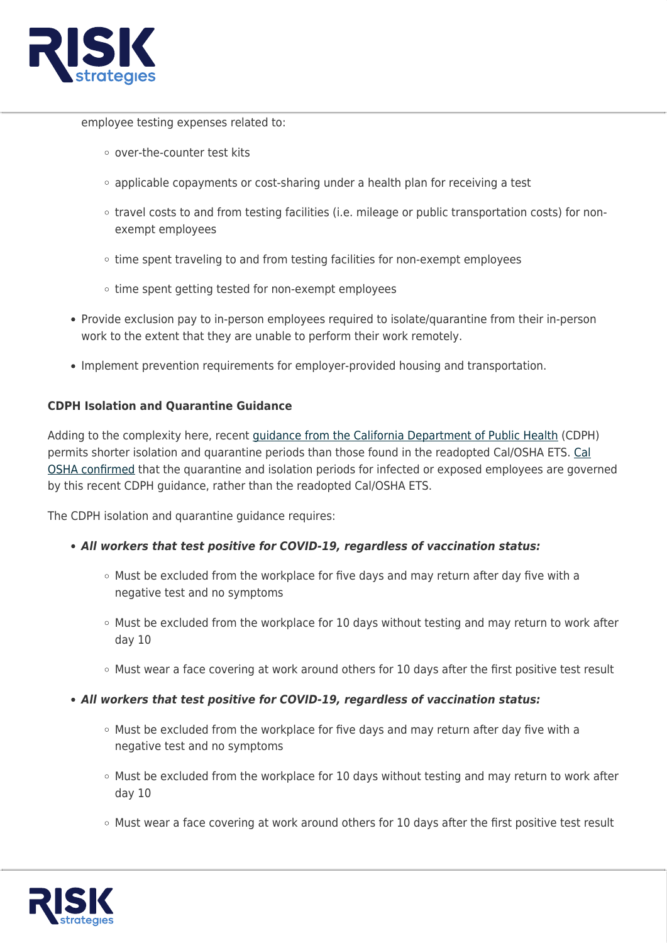

employee testing expenses related to:

- o over-the-counter test kits
- $\circ$  applicable copayments or cost-sharing under a health plan for receiving a test
- travel costs to and from testing facilities (i.e. mileage or public transportation costs) for nonexempt employees
- $\circ$  time spent traveling to and from testing facilities for non-exempt employees
- $\circ$  time spent getting tested for non-exempt employees
- Provide exclusion pay to in-person employees required to isolate/quarantine from their in-person work to the extent that they are unable to perform their work remotely.
- Implement prevention requirements for employer-provided housing and transportation.

#### **CDPH Isolation and Quarantine Guidance**

Adding to the complexity here, recent [guidance from the California Department of Public Health](https://www.cdph.ca.gov/Programs/CID/DCDC/Pages/COVID-19/Guidance-on-Isolation-and-Quarantine-for-COVID-19-Contact-Tracing.aspx) (CDPH) permits shorter isolation and quarantine periods than those found in the readopted Cal/OSHA ETS. [Cal](https://dir.ca.gov/dosh/dosh_publications/Isolation-and-Quarantine-fs.pdf) [OSHA confirmed](https://dir.ca.gov/dosh/dosh_publications/Isolation-and-Quarantine-fs.pdf) that the quarantine and isolation periods for infected or exposed employees are governed by this recent CDPH guidance, rather than the readopted Cal/OSHA ETS.

The CDPH isolation and quarantine guidance requires:

#### *All workers that test positive for COVID-19, regardless of vaccination status:*

- o Must be excluded from the workplace for five days and may return after day five with a negative test and no symptoms
- $\circ$  Must be excluded from the workplace for 10 days without testing and may return to work after day 10
- $\circ$  Must wear a face covering at work around others for 10 days after the first positive test result
- *All workers that test positive for COVID-19, regardless of vaccination status:*
	- $\circ$  Must be excluded from the workplace for five days and may return after day five with a negative test and no symptoms
	- $\circ$  Must be excluded from the workplace for 10 days without testing and may return to work after day 10
	- $\circ$  Must wear a face covering at work around others for 10 days after the first positive test result